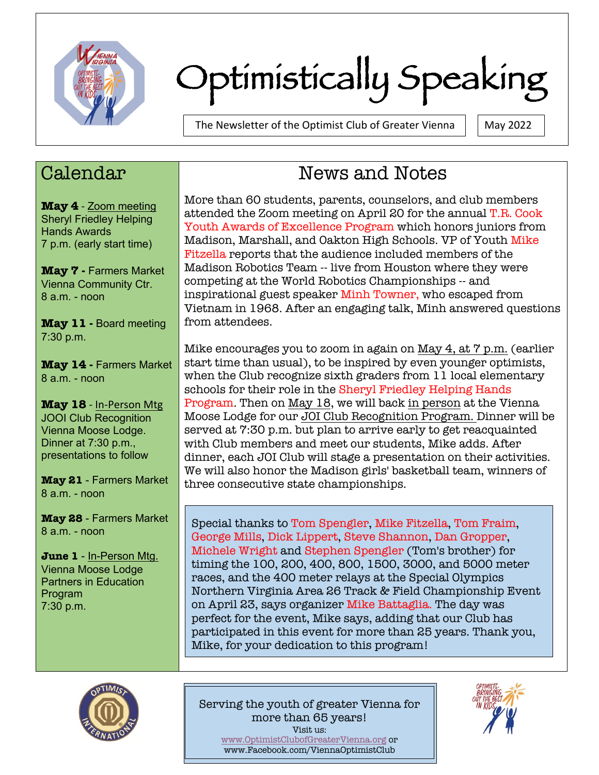

# Optimistically Speaking

The Newsletter of the Optimist Club of Greater Vienna  $\parallel$  May 2022

## Calendar

**May 4** - Zoom meeting Sheryl Friedley Helping Hands Awards 7 p.m. (early start time)

**May 7 -** Farmers Market Vienna Community Ctr. 8 a.m. - noon

**May 11 -** Board meeting 7:30 p.m.

**May 14 -** Farmers Market 8 a.m. - noon

**May 18** - In-Person Mtg JOOI Club Recognition Vienna Moose Lodge. Dinner at 7:30 p.m., presentations to follow

**May 21** - Farmers Market 8 a.m. - noon

**May 28** - Farmers Market 8 a.m. - noon

**June 1** - In-Person Mtg. Vienna Moose Lodge Partners in Education Program 7:30 p.m.

## News and Notes

More than 60 students, parents, counselors, and club members attended the Zoom meeting on April 20 for the annual T.R. Cook Youth Awards of Excellence Program which honors juniors from Madison, Marshall, and Oakton High Schools. VP of Youth Mike Fitzella reports that the audience included members of the Madison Robotics Team -- live from Houston where they were competing at the World Robotics Championships -- and inspirational guest speaker Minh Towner, who escaped from Vietnam in 1968. After an engaging talk, Minh answered questions from attendees.

Mike encourages you to zoom in again on May 4, at 7 p.m. (earlier start time than usual), to be inspired by even younger optimists, when the Club recognize sixth graders from 11 local elementary schools for their role in the Sheryl Friedley Helping Hands Program. Then on May 18, we will back in person at the Vienna Moose Lodge for our JOI Club Recognition Program. Dinner will be served at 7:30 p.m. but plan to arrive early to get reacquainted with Club members and meet our students, Mike adds. After dinner, each JOI Club will stage a presentation on their activities. We will also honor the Madison girls' basketball team, winners of three consecutive state championships.

Special thanks to Tom Spengler, Mike Fitzella, Tom Fraim, George Mills, Dick Lippert, Steve Shannon, Dan Gropper, Michele Wright and Stephen Spengler (Tom's brother) for timing the 100, 200, 400, 800, 1500, 3000, and 5000 meter races, and the 400 meter relays at the Special Olympics Northern Virginia Area 26 Track & Field Championship Event on April 23, says organizer Mike Battaglia. The day was perfect for the event, Mike says, adding that our Club has participated in this event for more than 25 years. Thank you, Mike, for your dedication to this program!



Serving the youth of greater Vienna for more than 65 years! Visit us: www.OptimistClubofGreaterVienna.org or www.Facebook.com/ViennaOptimistClub

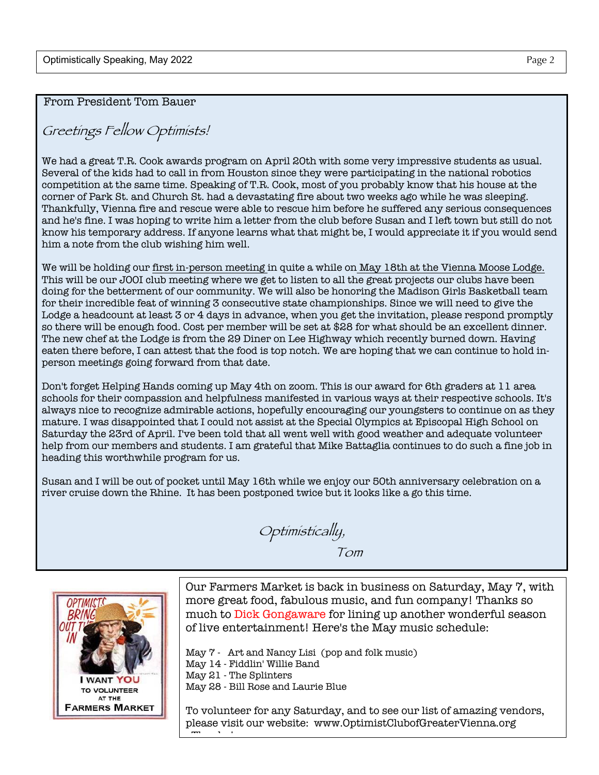From President Tom Bauer

### Greetings Fellow Optimists!

We had a great T.R. Cook awards program on April 20th with some very impressive students as usual. Several of the kids had to call in from Houston since they were participating in the national robotics competition at the same time. Speaking of T.R. Cook, most of you probably know that his house at the corner of Park St. and Church St. had a devastating fire about two weeks ago while he was sleeping. Thankfully, Vienna fire and rescue were able to rescue him before he suffered any serious consequences and he's fine. I was hoping to write him a letter from the club before Susan and I left town but still do not know his temporary address. If anyone learns what that might be, I would appreciate it if you would send him a note from the club wishing him well.

We will be holding our first in-person meeting in quite a while on May 18th at the Vienna Moose Lodge. This will be our JOOI club meeting where we get to listen to all the great projects our clubs have been doing for the betterment of our community. We will also be honoring the Madison Girls Basketball team for their incredible feat of winning 3 consecutive state championships. Since we will need to give the Lodge a headcount at least 3 or 4 days in advance, when you get the invitation, please respond promptly so there will be enough food. Cost per member will be set at \$28 for what should be an excellent dinner. The new chef at the Lodge is from the 29 Diner on Lee Highway which recently burned down. Having eaten there before, I can attest that the food is top notch. We are hoping that we can continue to hold inperson meetings going forward from that date.

Don't forget Helping Hands coming up May 4th on zoom. This is our award for 6th graders at 11 area schools for their compassion and helpfulness manifested in various ways at their respective schools. It's always nice to recognize admirable actions, hopefully encouraging our youngsters to continue on as they mature. I was disappointed that I could not assist at the Special Olympics at Episcopal High School on Saturday the 23rd of April. I've been told that all went well with good weather and adequate volunteer help from our members and students. I am grateful that Mike Battaglia continues to do such a fine job in heading this worthwhile program for us.

Susan and I will be out of pocket until May 16th while we enjoy our 50th anniversary celebration on a river cruise down the Rhine. It has been postponed twice but it looks like a go this time.

Optimistically, Tom



Our Farmers Market is back in business on Saturday, May 7, with more great food, fabulous music, and fun company! Thanks so much to Dick Gongaware for lining up another wonderful season of live entertainment! Here's the May music schedule:

May  $\frac{7}{7}$  - Art and Nancy Lisi (pop and folk music) May 14 - Fiddlin' Willie Band May 21 - The Splinters May 28 - Bill Rose and Laurie Blue

To volunteer for any Saturday, and to see our list of amazing vendors, please visit our website: www.OptimistClubofGreaterVienna.org <u>. Thanks</u>